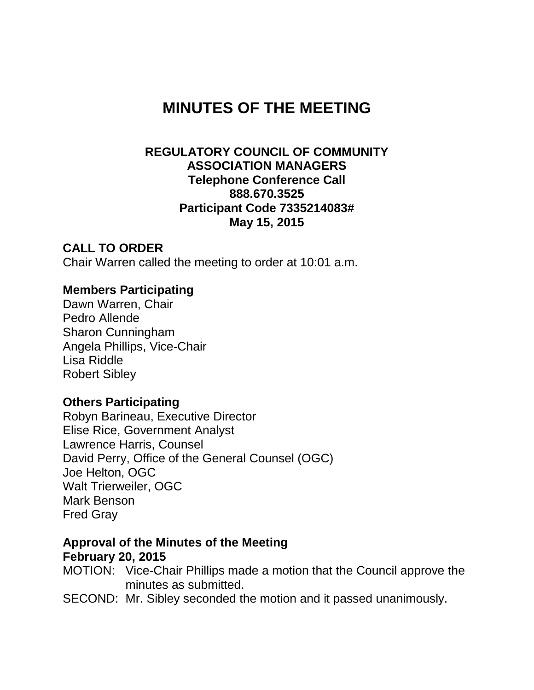# **MINUTES OF THE MEETING**

### **REGULATORY COUNCIL OF COMMUNITY ASSOCIATION MANAGERS Telephone Conference Call 888.670.3525 Participant Code 7335214083# May 15, 2015**

### **CALL TO ORDER**

Chair Warren called the meeting to order at 10:01 a.m.

### **Members Participating**

Dawn Warren, Chair Pedro Allende Sharon Cunningham Angela Phillips, Vice-Chair Lisa Riddle Robert Sibley

### **Others Participating**

Robyn Barineau, Executive Director Elise Rice, Government Analyst Lawrence Harris, Counsel David Perry, Office of the General Counsel (OGC) Joe Helton, OGC Walt Trierweiler, OGC Mark Benson Fred Gray

#### **Approval of the Minutes of the Meeting February 20, 2015**

MOTION: Vice-Chair Phillips made a motion that the Council approve the minutes as submitted.

SECOND: Mr. Sibley seconded the motion and it passed unanimously.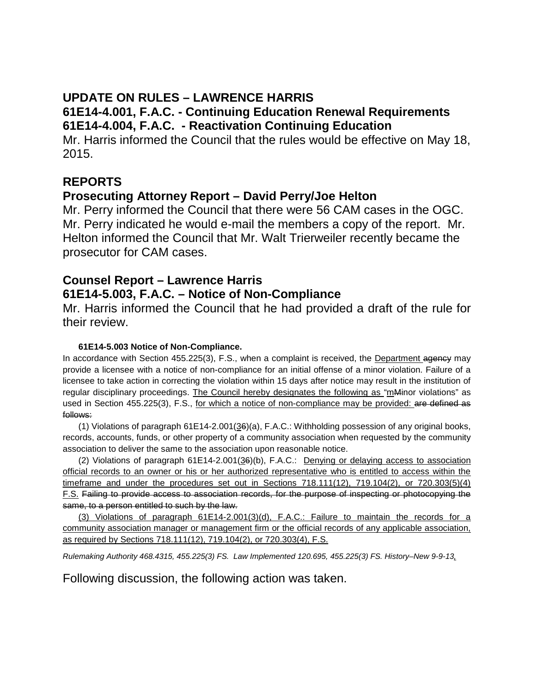## **UPDATE ON RULES – LAWRENCE HARRIS**

## **61E14-4.001, F.A.C. - Continuing Education Renewal Requirements 61E14-4.004, F.A.C. - Reactivation Continuing Education**

Mr. Harris informed the Council that the rules would be effective on May 18, 2015.

### **REPORTS**

### **Prosecuting Attorney Report – David Perry/Joe Helton**

Mr. Perry informed the Council that there were 56 CAM cases in the OGC. Mr. Perry indicated he would e-mail the members a copy of the report. Mr. Helton informed the Council that Mr. Walt Trierweiler recently became the prosecutor for CAM cases.

## **Counsel Report – Lawrence Harris 61E14-5.003, F.A.C. – Notice of Non-Compliance**

Mr. Harris informed the Council that he had provided a draft of the rule for their review.

#### **61E14-5.003 Notice of Non-Compliance.**

In accordance with Section 455.225(3), F.S., when a complaint is received, the Department agency may provide a licensee with a notice of non-compliance for an initial offense of a minor violation. Failure of a licensee to take action in correcting the violation within 15 days after notice may result in the institution of regular disciplinary proceedings. The Council hereby designates the following as "mMinor violations" as used in Section 455.225(3), F.S., for which a notice of non-compliance may be provided: are defined as follows:

(1) Violations of paragraph 61E14-2.001(36)(a), F.A.C.: Withholding possession of any original books, records, accounts, funds, or other property of a community association when requested by the community association to deliver the same to the association upon reasonable notice.

(2) Violations of paragraph 61E14-2.001(36)(b), F.A.C.: Denying or delaying access to association official records to an owner or his or her authorized representative who is entitled to access within the timeframe and under the procedures set out in Sections 718.111(12), 719.104(2), or 720.303(5)(4) F.S. Failing to provide access to association records, for the purpose of inspecting or photocopying the same, to a person entitled to such by the law.

(3) Violations of paragraph 61E14-2.001(3)(d), F.A.C.: Failure to maintain the records for a community association manager or management firm or the official records of any applicable association, as required by Sections 718.111(12), 719.104(2), or 720.303(4), F.S.

*Rulemaking Authority 468.4315, 455.225(3) FS. Law Implemented 120.695, 455.225(3) FS. History–New 9-9-13,* 

Following discussion, the following action was taken.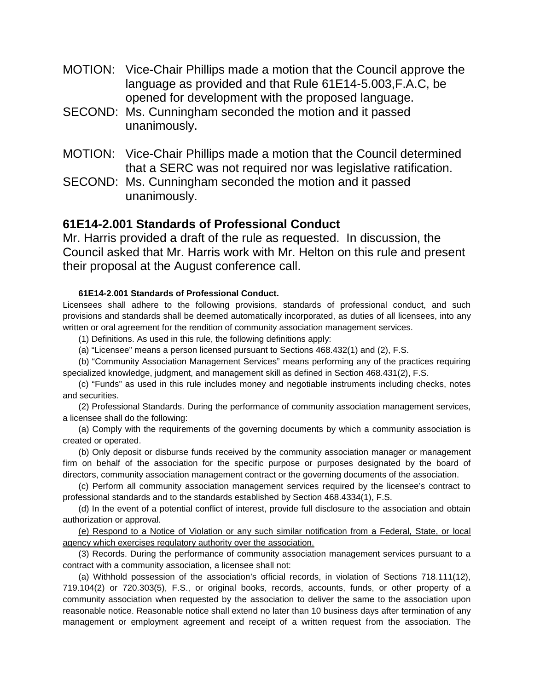- MOTION: Vice-Chair Phillips made a motion that the Council approve the language as provided and that Rule 61E14-5.003,F.A.C, be opened for development with the proposed language.
- SECOND: Ms. Cunningham seconded the motion and it passed unanimously.
- MOTION: Vice-Chair Phillips made a motion that the Council determined that a SERC was not required nor was legislative ratification.
- SECOND: Ms. Cunningham seconded the motion and it passed unanimously.

#### **61E14-2.001 Standards of Professional Conduct**

Mr. Harris provided a draft of the rule as requested. In discussion, the Council asked that Mr. Harris work with Mr. Helton on this rule and present their proposal at the August conference call.

#### **61E14-2.001 Standards of Professional Conduct.**

Licensees shall adhere to the following provisions, standards of professional conduct, and such provisions and standards shall be deemed automatically incorporated, as duties of all licensees, into any written or oral agreement for the rendition of community association management services.

- (1) Definitions. As used in this rule, the following definitions apply:
- (a) "Licensee" means a person licensed pursuant to Sections 468.432(1) and (2), F.S.

(b) "Community Association Management Services" means performing any of the practices requiring specialized knowledge, judgment, and management skill as defined in Section 468.431(2), F.S.

(c) "Funds" as used in this rule includes money and negotiable instruments including checks, notes and securities.

(2) Professional Standards. During the performance of community association management services, a licensee shall do the following:

(a) Comply with the requirements of the governing documents by which a community association is created or operated.

(b) Only deposit or disburse funds received by the community association manager or management firm on behalf of the association for the specific purpose or purposes designated by the board of directors, community association management contract or the governing documents of the association.

(c) Perform all community association management services required by the licensee's contract to professional standards and to the standards established by Section 468.4334(1), F.S.

(d) In the event of a potential conflict of interest, provide full disclosure to the association and obtain authorization or approval.

(e) Respond to a Notice of Violation or any such similar notification from a Federal, State, or local agency which exercises regulatory authority over the association.

(3) Records. During the performance of community association management services pursuant to a contract with a community association, a licensee shall not:

(a) Withhold possession of the association's official records, in violation of Sections 718.111(12), 719.104(2) or 720.303(5), F.S., or original books, records, accounts, funds, or other property of a community association when requested by the association to deliver the same to the association upon reasonable notice. Reasonable notice shall extend no later than 10 business days after termination of any management or employment agreement and receipt of a written request from the association. The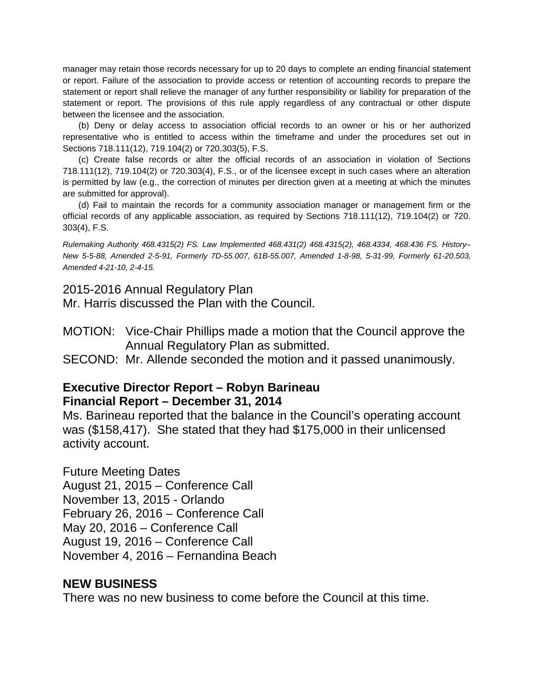manager may retain those records necessary for up to 20 days to complete an ending financial statement or report. Failure of the association to provide access or retention of accounting records to prepare the statement or report shall relieve the manager of any further responsibility or liability for preparation of the statement or report. The provisions of this rule apply regardless of any contractual or other dispute between the licensee and the association.

(b) Deny or delay access to association official records to an owner or his or her authorized representative who is entitled to access within the timeframe and under the procedures set out in Sections 718.111(12), 719.104(2) or 720.303(5), F.S.

(c) Create false records or alter the official records of an association in violation of Sections 718.111(12), 719.104(2) or 720.303(4), F.S., or of the licensee except in such cases where an alteration is permitted by law (e.g., the correction of minutes per direction given at a meeting at which the minutes are submitted for approval).

(d) Fail to maintain the records for a community association manager or management firm or the official records of any applicable association, as required by Sections 718.111(12), 719.104(2) or 720. 303(4), F.S.

*Rulemaking Authority 468.4315(2) FS. Law Implemented 468.431(2) 468.4315(2), 468.4334, 468.436 FS. History– New 5-5-88, Amended 2-5-91, Formerly 7D-55.007, 61B-55.007, Amended 1-8-98, 5-31-99, Formerly 61-20.503, Amended 4-21-10, 2-4-15.*

2015-2016 Annual Regulatory Plan

Mr. Harris discussed the Plan with the Council.

MOTION: Vice-Chair Phillips made a motion that the Council approve the Annual Regulatory Plan as submitted.

SECOND: Mr. Allende seconded the motion and it passed unanimously.

#### **Executive Director Report – Robyn Barineau Financial Report – December 31, 2014**

Ms. Barineau reported that the balance in the Council's operating account was (\$158,417). She stated that they had \$175,000 in their unlicensed activity account.

Future Meeting Dates August 21, 2015 – Conference Call November 13, 2015 - Orlando February 26, 2016 – Conference Call May 20, 2016 – Conference Call August 19, 2016 – Conference Call November 4, 2016 – Fernandina Beach

#### **NEW BUSINESS**

There was no new business to come before the Council at this time.